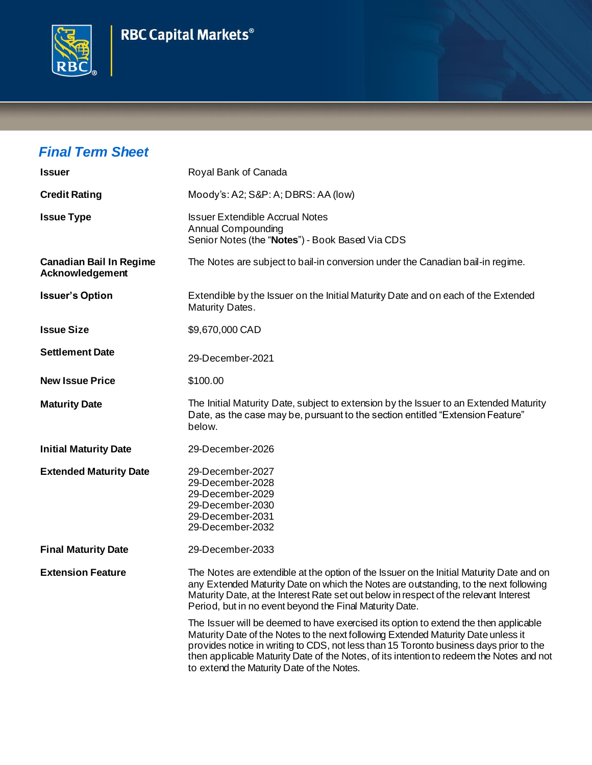



## *Final Term Sheet*

| <b>Issuer</b>                                     | Royal Bank of Canada                                                                                                                                                                                                                                                                                                                                                                                         |
|---------------------------------------------------|--------------------------------------------------------------------------------------------------------------------------------------------------------------------------------------------------------------------------------------------------------------------------------------------------------------------------------------------------------------------------------------------------------------|
| <b>Credit Rating</b>                              | Moody's: A2; S&P: A; DBRS: AA (low)                                                                                                                                                                                                                                                                                                                                                                          |
| <b>Issue Type</b>                                 | <b>Issuer Extendible Accrual Notes</b><br><b>Annual Compounding</b><br>Senior Notes (the "Notes") - Book Based Via CDS                                                                                                                                                                                                                                                                                       |
| <b>Canadian Bail In Regime</b><br>Acknowledgement | The Notes are subject to bail-in conversion under the Canadian bail-in regime.                                                                                                                                                                                                                                                                                                                               |
| <b>Issuer's Option</b>                            | Extendible by the Issuer on the Initial Maturity Date and on each of the Extended<br>Maturity Dates.                                                                                                                                                                                                                                                                                                         |
| <b>Issue Size</b>                                 | \$9,670,000 CAD                                                                                                                                                                                                                                                                                                                                                                                              |
| <b>Settlement Date</b>                            | 29-December-2021                                                                                                                                                                                                                                                                                                                                                                                             |
| <b>New Issue Price</b>                            | \$100.00                                                                                                                                                                                                                                                                                                                                                                                                     |
| <b>Maturity Date</b>                              | The Initial Maturity Date, subject to extension by the Issuer to an Extended Maturity<br>Date, as the case may be, pursuant to the section entitled "Extension Feature"<br>below.                                                                                                                                                                                                                            |
| <b>Initial Maturity Date</b>                      | 29-December-2026                                                                                                                                                                                                                                                                                                                                                                                             |
| <b>Extended Maturity Date</b>                     | 29-December-2027<br>29-December-2028<br>29-December-2029<br>29-December-2030<br>29-December-2031<br>29-December-2032                                                                                                                                                                                                                                                                                         |
| <b>Final Maturity Date</b>                        | 29-December-2033                                                                                                                                                                                                                                                                                                                                                                                             |
| <b>Extension Feature</b>                          | The Notes are extendible at the option of the Issuer on the Initial Maturity Date and on<br>any Extended Maturity Date on which the Notes are outstanding, to the next following<br>Maturity Date, at the Interest Rate set out below in respect of the relevant Interest<br>Period, but in no event beyond the Final Maturity Date.                                                                         |
|                                                   | The Issuer will be deemed to have exercised its option to extend the then applicable<br>Maturity Date of the Notes to the next following Extended Maturity Date unless it<br>provides notice in writing to CDS, not less than 15 Toronto business days prior to the<br>then applicable Maturity Date of the Notes, of its intention to redeem the Notes and not<br>to extend the Maturity Date of the Notes. |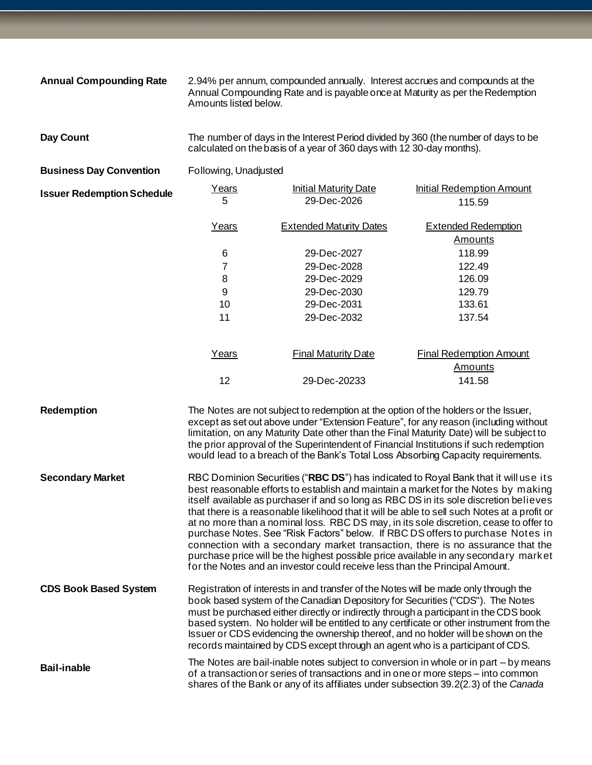| <b>Annual Compounding Rate</b>    | Amounts listed below.                                                                                                                                                                                                                                                                                                                                                                                                                                                                                                                                                                                                                                                                                                                                                                                   | 2.94% per annum, compounded annually. Interest accrues and compounds at the<br>Annual Compounding Rate and is payable once at Maturity as per the Redemption                                                                                             |                                                                                                                                                                                                                                                                                                                                                              |
|-----------------------------------|---------------------------------------------------------------------------------------------------------------------------------------------------------------------------------------------------------------------------------------------------------------------------------------------------------------------------------------------------------------------------------------------------------------------------------------------------------------------------------------------------------------------------------------------------------------------------------------------------------------------------------------------------------------------------------------------------------------------------------------------------------------------------------------------------------|----------------------------------------------------------------------------------------------------------------------------------------------------------------------------------------------------------------------------------------------------------|--------------------------------------------------------------------------------------------------------------------------------------------------------------------------------------------------------------------------------------------------------------------------------------------------------------------------------------------------------------|
| Day Count                         | The number of days in the Interest Period divided by 360 (the number of days to be<br>calculated on the basis of a year of 360 days with 12 30-day months).                                                                                                                                                                                                                                                                                                                                                                                                                                                                                                                                                                                                                                             |                                                                                                                                                                                                                                                          |                                                                                                                                                                                                                                                                                                                                                              |
| <b>Business Day Convention</b>    | Following, Unadjusted                                                                                                                                                                                                                                                                                                                                                                                                                                                                                                                                                                                                                                                                                                                                                                                   |                                                                                                                                                                                                                                                          |                                                                                                                                                                                                                                                                                                                                                              |
| <b>Issuer Redemption Schedule</b> | Years<br>5                                                                                                                                                                                                                                                                                                                                                                                                                                                                                                                                                                                                                                                                                                                                                                                              | <b>Initial Maturity Date</b><br>29-Dec-2026                                                                                                                                                                                                              | <b>Initial Redemption Amount</b><br>115.59                                                                                                                                                                                                                                                                                                                   |
|                                   | Years                                                                                                                                                                                                                                                                                                                                                                                                                                                                                                                                                                                                                                                                                                                                                                                                   | <b>Extended Maturity Dates</b>                                                                                                                                                                                                                           | <b>Extended Redemption</b><br><b>Amounts</b>                                                                                                                                                                                                                                                                                                                 |
|                                   | 6                                                                                                                                                                                                                                                                                                                                                                                                                                                                                                                                                                                                                                                                                                                                                                                                       | 29-Dec-2027                                                                                                                                                                                                                                              | 118.99                                                                                                                                                                                                                                                                                                                                                       |
|                                   | 7                                                                                                                                                                                                                                                                                                                                                                                                                                                                                                                                                                                                                                                                                                                                                                                                       | 29-Dec-2028                                                                                                                                                                                                                                              | 122.49                                                                                                                                                                                                                                                                                                                                                       |
|                                   | 8                                                                                                                                                                                                                                                                                                                                                                                                                                                                                                                                                                                                                                                                                                                                                                                                       | 29-Dec-2029                                                                                                                                                                                                                                              | 126.09                                                                                                                                                                                                                                                                                                                                                       |
|                                   | 9                                                                                                                                                                                                                                                                                                                                                                                                                                                                                                                                                                                                                                                                                                                                                                                                       | 29-Dec-2030                                                                                                                                                                                                                                              | 129.79                                                                                                                                                                                                                                                                                                                                                       |
|                                   | 10                                                                                                                                                                                                                                                                                                                                                                                                                                                                                                                                                                                                                                                                                                                                                                                                      | 29-Dec-2031                                                                                                                                                                                                                                              | 133.61                                                                                                                                                                                                                                                                                                                                                       |
|                                   | 11                                                                                                                                                                                                                                                                                                                                                                                                                                                                                                                                                                                                                                                                                                                                                                                                      | 29-Dec-2032                                                                                                                                                                                                                                              | 137.54                                                                                                                                                                                                                                                                                                                                                       |
|                                   | Years                                                                                                                                                                                                                                                                                                                                                                                                                                                                                                                                                                                                                                                                                                                                                                                                   | <b>Final Maturity Date</b>                                                                                                                                                                                                                               | <b>Final Redemption Amount</b>                                                                                                                                                                                                                                                                                                                               |
|                                   |                                                                                                                                                                                                                                                                                                                                                                                                                                                                                                                                                                                                                                                                                                                                                                                                         |                                                                                                                                                                                                                                                          | <b>Amounts</b>                                                                                                                                                                                                                                                                                                                                               |
|                                   | 12                                                                                                                                                                                                                                                                                                                                                                                                                                                                                                                                                                                                                                                                                                                                                                                                      | 29-Dec-20233                                                                                                                                                                                                                                             | 141.58                                                                                                                                                                                                                                                                                                                                                       |
| Redemption                        |                                                                                                                                                                                                                                                                                                                                                                                                                                                                                                                                                                                                                                                                                                                                                                                                         | The Notes are not subject to redemption at the option of the holders or the Issuer,                                                                                                                                                                      | except as set out above under "Extension Feature", for any reason (including without<br>limitation, on any Maturity Date other than the Final Maturity Date) will be subject to<br>the prior approval of the Superintendent of Financial Institutions if such redemption<br>would lead to a breach of the Bank's Total Loss Absorbing Capacity requirements. |
| <b>Secondary Market</b>           | RBC Dominion Securities ("RBC DS") has indicated to Royal Bank that it will use its<br>best reasonable efforts to establish and maintain a market for the Notes by making<br>itself available as purchaser if and so long as RBC DS in its sole discretion believes<br>that there is a reasonable likelihood that it will be able to sell such Notes at a profit or<br>at no more than a nominal loss. RBC DS may, in its sole discretion, cease to offer to<br>purchase Notes. See "Risk Factors" below. If RBC DS offers to purchase Notes in<br>connection with a secondary market transaction, there is no assurance that the<br>purchase price will be the highest possible price available in any secondary market<br>for the Notes and an investor could receive less than the Principal Amount. |                                                                                                                                                                                                                                                          |                                                                                                                                                                                                                                                                                                                                                              |
| <b>CDS Book Based System</b>      |                                                                                                                                                                                                                                                                                                                                                                                                                                                                                                                                                                                                                                                                                                                                                                                                         | Registration of interests in and transfer of the Notes will be made only through the<br>book based system of the Canadian Depository for Securities ("CDS"). The Notes<br>records maintained by CDS except through an agent who is a participant of CDS. | must be purchased either directly or indirectly through a participant in the CDS book<br>based system. No holder will be entitled to any certificate or other instrument from the<br>Issuer or CDS evidencing the ownership thereof, and no holder will be shown on the                                                                                      |
| <b>Bail-inable</b>                |                                                                                                                                                                                                                                                                                                                                                                                                                                                                                                                                                                                                                                                                                                                                                                                                         | of a transaction or series of transactions and in one or more steps – into common                                                                                                                                                                        | The Notes are bail-inable notes subject to conversion in whole or in part – by means<br>shares of the Bank or any of its affiliates under subsection 39.2(2.3) of the Canada                                                                                                                                                                                 |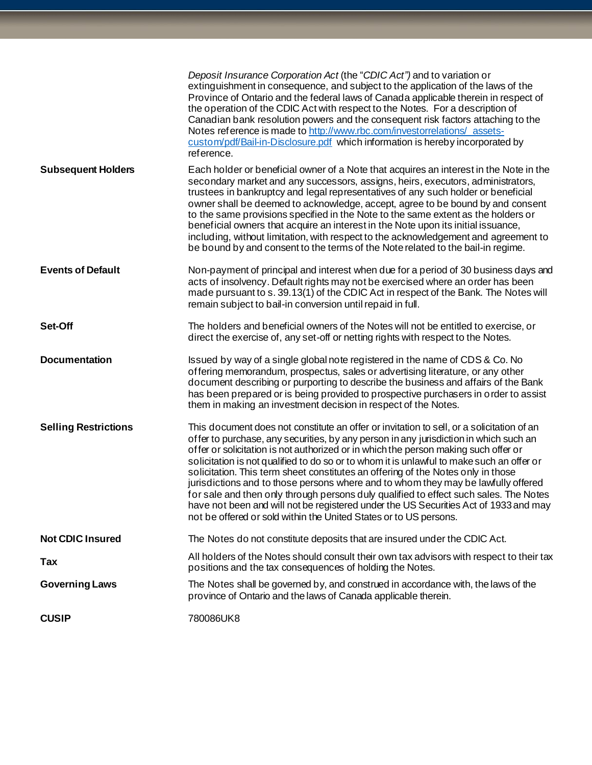|                             | Deposit Insurance Corporation Act (the "CDIC Act") and to variation or<br>extinguishment in consequence, and subject to the application of the laws of the<br>Province of Ontario and the federal laws of Canada applicable therein in respect of<br>the operation of the CDIC Act with respect to the Notes. For a description of<br>Canadian bank resolution powers and the consequent risk factors attaching to the<br>Notes reference is made to http://www.rbc.com/investorrelations/assets-<br>custom/pdf/Bail-in-Disclosure.pdf which information is hereby incorporated by<br>reference.                                                                                                                                                                                                      |
|-----------------------------|-------------------------------------------------------------------------------------------------------------------------------------------------------------------------------------------------------------------------------------------------------------------------------------------------------------------------------------------------------------------------------------------------------------------------------------------------------------------------------------------------------------------------------------------------------------------------------------------------------------------------------------------------------------------------------------------------------------------------------------------------------------------------------------------------------|
| <b>Subsequent Holders</b>   | Each holder or beneficial owner of a Note that acquires an interest in the Note in the<br>secondary market and any successors, assigns, heirs, executors, administrators,<br>trustees in bankruptcy and legal representatives of any such holder or beneficial<br>owner shall be deemed to acknowledge, accept, agree to be bound by and consent<br>to the same provisions specified in the Note to the same extent as the holders or<br>beneficial owners that acquire an interest in the Note upon its initial issuance,<br>including, without limitation, with respect to the acknowledgement and agreement to<br>be bound by and consent to the terms of the Note related to the bail-in regime.                                                                                                  |
| <b>Events of Default</b>    | Non-payment of principal and interest when due for a period of 30 business days and<br>acts of insolvency. Default rights may not be exercised where an order has been<br>made pursuant to s. 39.13(1) of the CDIC Act in respect of the Bank. The Notes will<br>remain subject to bail-in conversion until repaid in full.                                                                                                                                                                                                                                                                                                                                                                                                                                                                           |
| Set-Off                     | The holders and beneficial owners of the Notes will not be entitled to exercise, or<br>direct the exercise of, any set-off or netting rights with respect to the Notes.                                                                                                                                                                                                                                                                                                                                                                                                                                                                                                                                                                                                                               |
| <b>Documentation</b>        | Issued by way of a single global note registered in the name of CDS & Co. No<br>offering memorandum, prospectus, sales or advertising literature, or any other<br>document describing or purporting to describe the business and affairs of the Bank<br>has been prepared or is being provided to prospective purchasers in order to assist<br>them in making an investment decision in respect of the Notes.                                                                                                                                                                                                                                                                                                                                                                                         |
| <b>Selling Restrictions</b> | This document does not constitute an offer or invitation to sell, or a solicitation of an<br>offer to purchase, any securities, by any person in any jurisdiction in which such an<br>offer or solicitation is not authorized or in which the person making such offer or<br>solicitation is not qualified to do so or to whom it is unlawful to make such an offer or<br>solicitation. This term sheet constitutes an offering of the Notes only in those<br>jurisdictions and to those persons where and to whom they may be lawfully offered<br>for sale and then only through persons duly qualified to effect such sales. The Notes<br>have not been and will not be registered under the US Securities Act of 1933 and may<br>not be offered or sold within the United States or to US persons. |
| <b>Not CDIC Insured</b>     | The Notes do not constitute deposits that are insured under the CDIC Act.                                                                                                                                                                                                                                                                                                                                                                                                                                                                                                                                                                                                                                                                                                                             |
| Tax                         | All holders of the Notes should consult their own tax advisors with respect to their tax<br>positions and the tax consequences of holding the Notes.                                                                                                                                                                                                                                                                                                                                                                                                                                                                                                                                                                                                                                                  |
| <b>Governing Laws</b>       | The Notes shall be governed by, and construed in accordance with, the laws of the<br>province of Ontario and the laws of Canada applicable therein.                                                                                                                                                                                                                                                                                                                                                                                                                                                                                                                                                                                                                                                   |
| <b>CUSIP</b>                | 780086UK8                                                                                                                                                                                                                                                                                                                                                                                                                                                                                                                                                                                                                                                                                                                                                                                             |